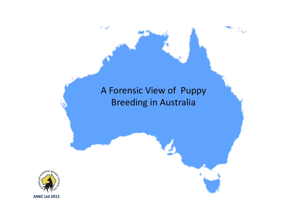# A Forensic View of Puppy Breeding in Australia

ha B

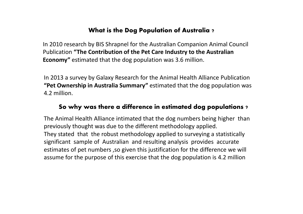#### What is the Dog Population of Australia ?

In 2010 research by BIS Shrapnel for the Australian Companion Animal Council Publication "The Contribution of the Pet Care Industry to the Australian Economy" estimated that the dog population was 3.6 million.

In 2013 a survey by Galaxy Research for the Animal Health Alliance Publication "Pet Ownership in Australia Summary" estimated that the dog population was 4.2 million.

#### So why was there a difference in estimated dog populations ?

The Animal Health Alliance intimated that the dog numbers being higher than previously thought was due to the different methodology applied.They stated that the robust methodology applied to surveying a statistically significant sample of Australian and resulting analysis provides accurate estimates of pet numbers ,so given this justification for the difference we will assume for the purpose of this exercise that the dog population is 4.2 million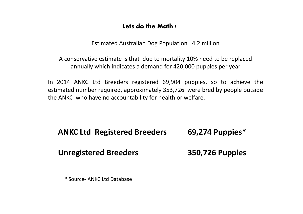#### Lets do the Math !

Estimated Australian Dog Population 4.2 million

A conservative estimate is that due to mortality 10% need to be replaced annually which indicates a demand for 420,000 puppies per year

In <sup>2014</sup> ANKC Ltd Breeders registered 69,904 puppies, so to achieve the estimated number required, approximately 353,726 were bred by people outside the ANKC who have no accountability for health or welfare.

| <b>ANKC Ltd Registered Breeders</b> | 69,274 Puppies*        |
|-------------------------------------|------------------------|
| <b>Unregistered Breeders</b>        | <b>350,726 Puppies</b> |

\* Source- ANKC Ltd Database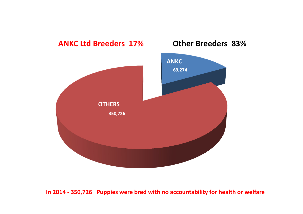

#### In 2014 - 350,726 Puppies were bred with no accountability for health or welfare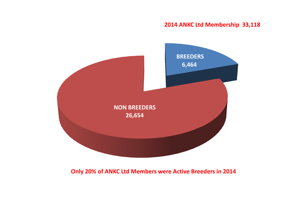#### 2014 ANKC Ltd Membership 33,118



#### Only 20% of ANKC Ltd Members were Active Breeders in 2014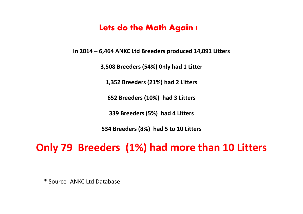### Lets do the Math Again !

In 2014 – 6,464 ANKC Ltd Breeders produced 14,091 Litters

3,508 Breeders (54%) 0nly had 1 Litter

1,352 Breeders (21%) had 2 Litters

652 Breeders (10%) had 3 Litters

339 Breeders (5%) had 4 Litters

534 Breeders (8%) had 5 to 10 Litters

## Only 79 Breeders (1%) had more than 10 Litters

\* Source- ANKC Ltd Database